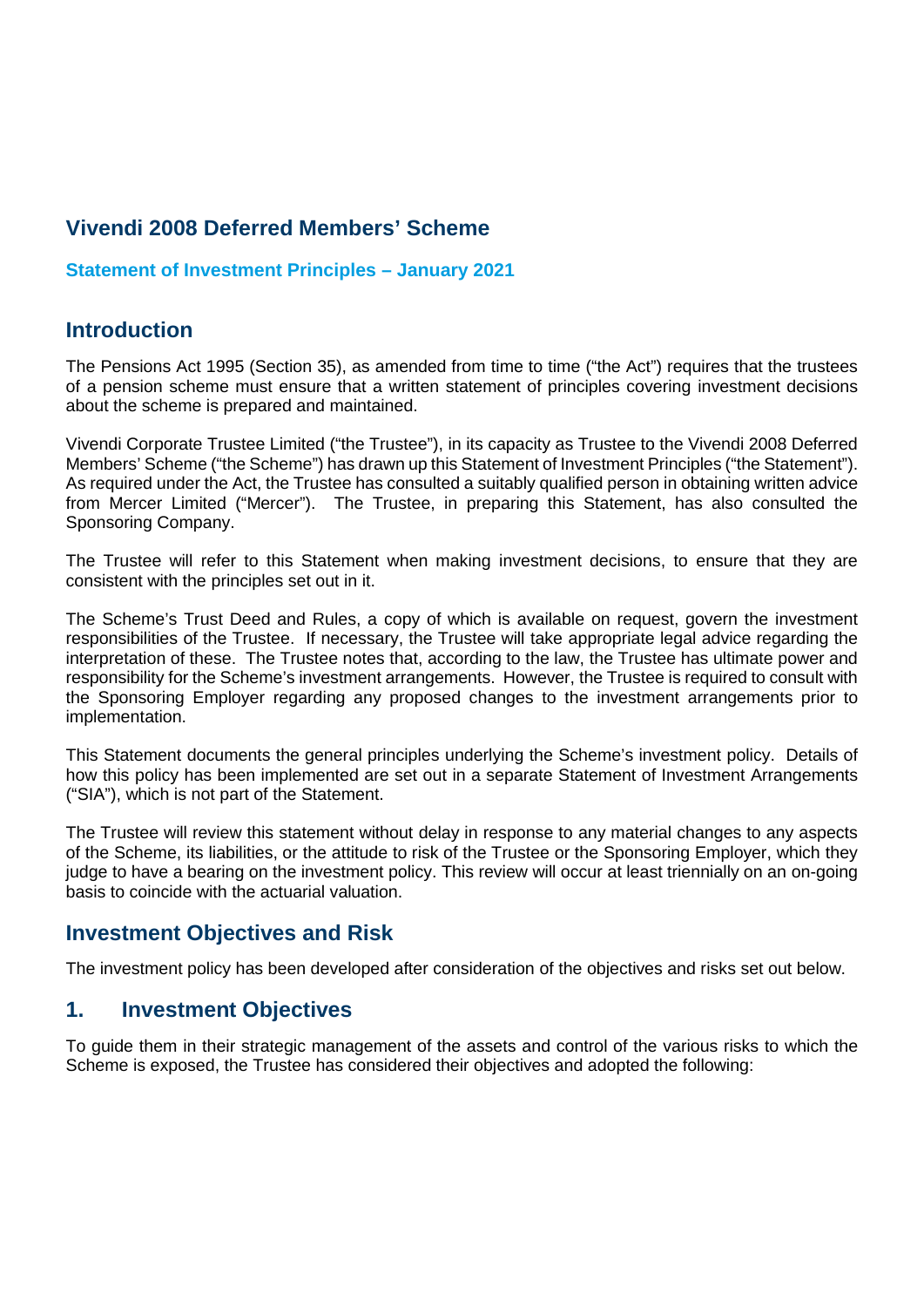## **Vivendi 2008 Deferred Members' Scheme**

#### **Statement of Investment Principles – January 2021**

### **Introduction**

The Pensions Act 1995 (Section 35), as amended from time to time ("the Act") requires that the trustees of a pension scheme must ensure that a written statement of principles covering investment decisions about the scheme is prepared and maintained.

Vivendi Corporate Trustee Limited ("the Trustee"), in its capacity as Trustee to the Vivendi 2008 Deferred Members' Scheme ("the Scheme") has drawn up this Statement of Investment Principles ("the Statement"). As required under the Act, the Trustee has consulted a suitably qualified person in obtaining written advice from Mercer Limited ("Mercer"). The Trustee, in preparing this Statement, has also consulted the Sponsoring Company.

The Trustee will refer to this Statement when making investment decisions, to ensure that they are consistent with the principles set out in it.

The Scheme's Trust Deed and Rules, a copy of which is available on request, govern the investment responsibilities of the Trustee. If necessary, the Trustee will take appropriate legal advice regarding the interpretation of these. The Trustee notes that, according to the law, the Trustee has ultimate power and responsibility for the Scheme's investment arrangements. However, the Trustee is required to consult with the Sponsoring Employer regarding any proposed changes to the investment arrangements prior to implementation.

This Statement documents the general principles underlying the Scheme's investment policy. Details of how this policy has been implemented are set out in a separate Statement of Investment Arrangements ("SIA"), which is not part of the Statement.

The Trustee will review this statement without delay in response to any material changes to any aspects of the Scheme, its liabilities, or the attitude to risk of the Trustee or the Sponsoring Employer, which they judge to have a bearing on the investment policy. This review will occur at least triennially on an on-going basis to coincide with the actuarial valuation.

### **Investment Objectives and Risk**

The investment policy has been developed after consideration of the objectives and risks set out below.

### **1. Investment Objectives**

To guide them in their strategic management of the assets and control of the various risks to which the Scheme is exposed, the Trustee has considered their objectives and adopted the following: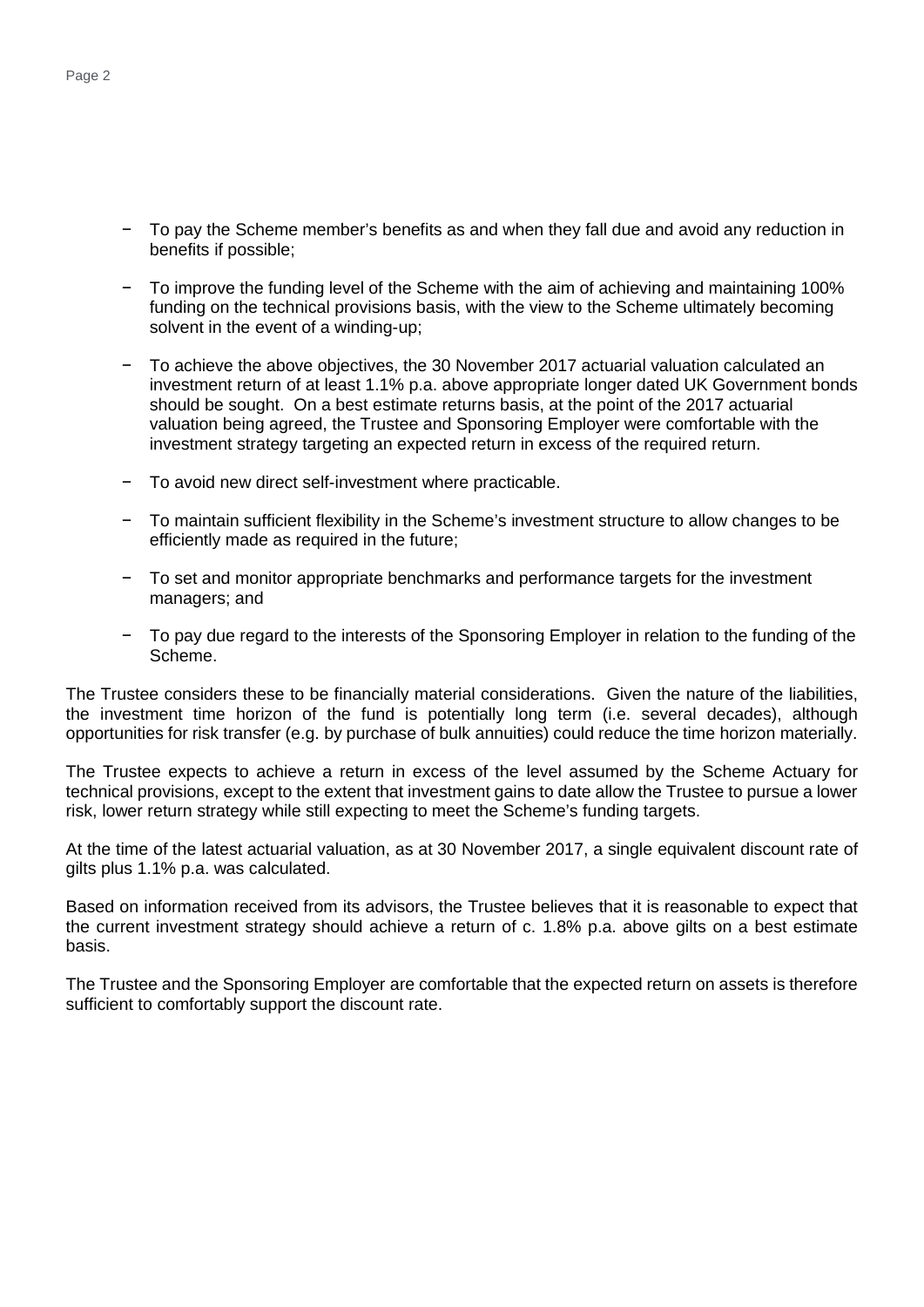- − To pay the Scheme member's benefits as and when they fall due and avoid any reduction in benefits if possible;
- − To improve the funding level of the Scheme with the aim of achieving and maintaining 100% funding on the technical provisions basis, with the view to the Scheme ultimately becoming solvent in the event of a winding-up;
- To achieve the above objectives, the 30 November 2017 actuarial valuation calculated an investment return of at least 1.1% p.a. above appropriate longer dated UK Government bonds should be sought. On a best estimate returns basis, at the point of the 2017 actuarial valuation being agreed, the Trustee and Sponsoring Employer were comfortable with the investment strategy targeting an expected return in excess of the required return.
- − To avoid new direct self-investment where practicable.
- − To maintain sufficient flexibility in the Scheme's investment structure to allow changes to be efficiently made as required in the future;
- To set and monitor appropriate benchmarks and performance targets for the investment managers; and
- − To pay due regard to the interests of the Sponsoring Employer in relation to the funding of the Scheme.

The Trustee considers these to be financially material considerations. Given the nature of the liabilities, the investment time horizon of the fund is potentially long term (i.e. several decades), although opportunities for risk transfer (e.g. by purchase of bulk annuities) could reduce the time horizon materially.

The Trustee expects to achieve a return in excess of the level assumed by the Scheme Actuary for technical provisions, except to the extent that investment gains to date allow the Trustee to pursue a lower risk, lower return strategy while still expecting to meet the Scheme's funding targets.

At the time of the latest actuarial valuation, as at 30 November 2017, a single equivalent discount rate of gilts plus 1.1% p.a. was calculated.

Based on information received from its advisors, the Trustee believes that it is reasonable to expect that the current investment strategy should achieve a return of c. 1.8% p.a. above gilts on a best estimate basis.

The Trustee and the Sponsoring Employer are comfortable that the expected return on assets is therefore sufficient to comfortably support the discount rate.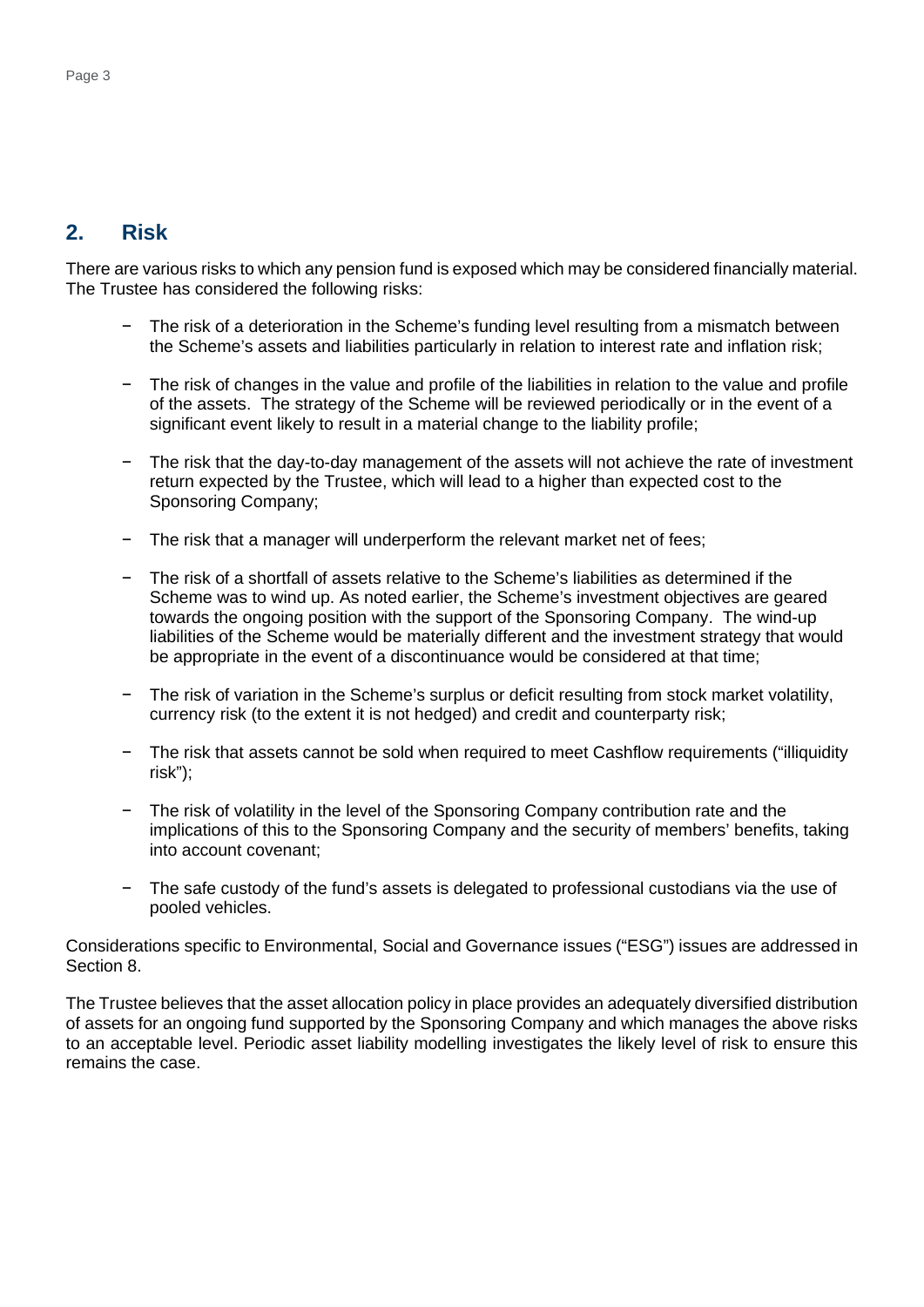### **2. Risk**

There are various risks to which any pension fund is exposed which may be considered financially material. The Trustee has considered the following risks:

- The risk of a deterioration in the Scheme's funding level resulting from a mismatch between the Scheme's assets and liabilities particularly in relation to interest rate and inflation risk;
- The risk of changes in the value and profile of the liabilities in relation to the value and profile of the assets. The strategy of the Scheme will be reviewed periodically or in the event of a significant event likely to result in a material change to the liability profile;
- − The risk that the day-to-day management of the assets will not achieve the rate of investment return expected by the Trustee, which will lead to a higher than expected cost to the Sponsoring Company;
- The risk that a manager will underperform the relevant market net of fees;
- The risk of a shortfall of assets relative to the Scheme's liabilities as determined if the Scheme was to wind up. As noted earlier, the Scheme's investment objectives are geared towards the ongoing position with the support of the Sponsoring Company. The wind-up liabilities of the Scheme would be materially different and the investment strategy that would be appropriate in the event of a discontinuance would be considered at that time;
- The risk of variation in the Scheme's surplus or deficit resulting from stock market volatility, currency risk (to the extent it is not hedged) and credit and counterparty risk;
- − The risk that assets cannot be sold when required to meet Cashflow requirements ("illiquidity risk");
- The risk of volatility in the level of the Sponsoring Company contribution rate and the implications of this to the Sponsoring Company and the security of members' benefits, taking into account covenant;
- The safe custody of the fund's assets is delegated to professional custodians via the use of pooled vehicles.

Considerations specific to Environmental, Social and Governance issues ("ESG") issues are addressed in Section 8.

The Trustee believes that the asset allocation policy in place provides an adequately diversified distribution of assets for an ongoing fund supported by the Sponsoring Company and which manages the above risks to an acceptable level. Periodic asset liability modelling investigates the likely level of risk to ensure this remains the case.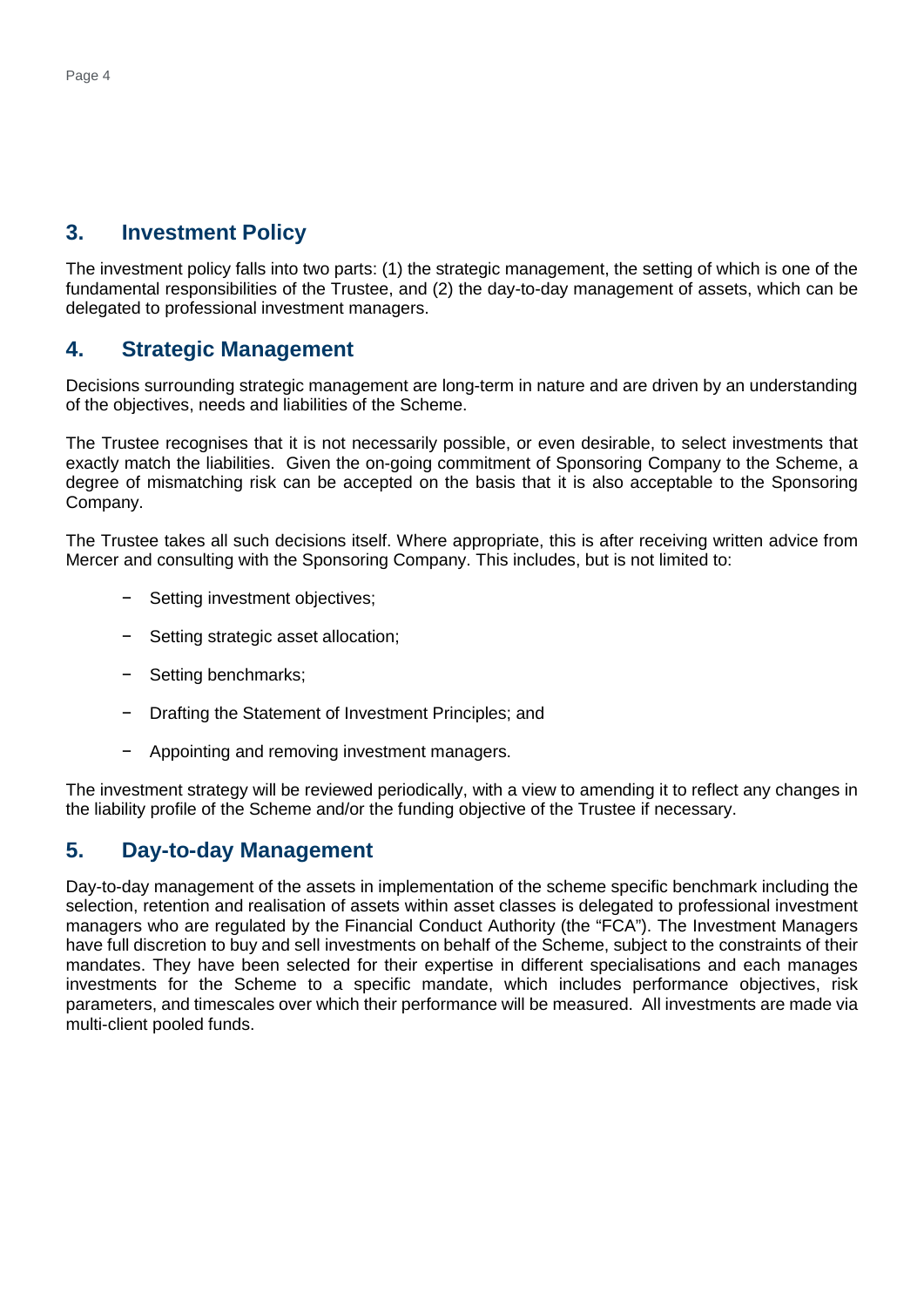## **3. Investment Policy**

The investment policy falls into two parts: (1) the strategic management, the setting of which is one of the fundamental responsibilities of the Trustee, and (2) the day-to-day management of assets, which can be delegated to professional investment managers.

## **4. Strategic Management**

Decisions surrounding strategic management are long-term in nature and are driven by an understanding of the objectives, needs and liabilities of the Scheme.

The Trustee recognises that it is not necessarily possible, or even desirable, to select investments that exactly match the liabilities. Given the on-going commitment of Sponsoring Company to the Scheme, a degree of mismatching risk can be accepted on the basis that it is also acceptable to the Sponsoring Company.

The Trustee takes all such decisions itself. Where appropriate, this is after receiving written advice from Mercer and consulting with the Sponsoring Company. This includes, but is not limited to:

- − Setting investment objectives;
- − Setting strategic asset allocation;
- − Setting benchmarks;
- − Drafting the Statement of Investment Principles; and
- − Appointing and removing investment managers.

The investment strategy will be reviewed periodically, with a view to amending it to reflect any changes in the liability profile of the Scheme and/or the funding objective of the Trustee if necessary.

### **5. Day-to-day Management**

Day-to-day management of the assets in implementation of the scheme specific benchmark including the selection, retention and realisation of assets within asset classes is delegated to professional investment managers who are regulated by the Financial Conduct Authority (the "FCA"). The Investment Managers have full discretion to buy and sell investments on behalf of the Scheme, subject to the constraints of their mandates. They have been selected for their expertise in different specialisations and each manages investments for the Scheme to a specific mandate, which includes performance objectives, risk parameters, and timescales over which their performance will be measured. All investments are made via multi-client pooled funds.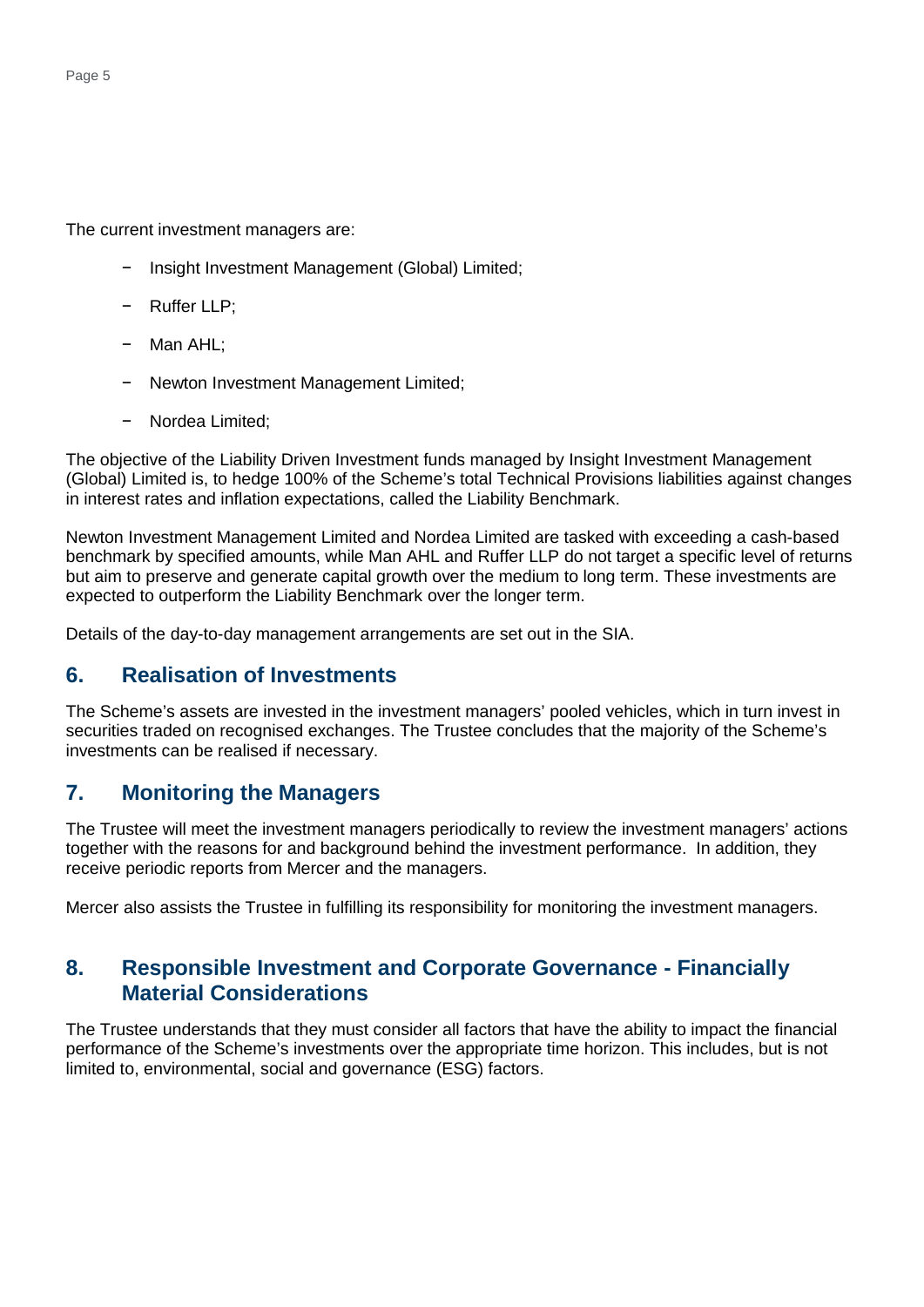The current investment managers are:

- − Insight Investment Management (Global) Limited;
- − Ruffer LLP;
- − Man AHL;
- − Newton Investment Management Limited;
- − Nordea Limited;

The objective of the Liability Driven Investment funds managed by Insight Investment Management (Global) Limited is, to hedge 100% of the Scheme's total Technical Provisions liabilities against changes in interest rates and inflation expectations, called the Liability Benchmark.

Newton Investment Management Limited and Nordea Limited are tasked with exceeding a cash-based benchmark by specified amounts, while Man AHL and Ruffer LLP do not target a specific level of returns but aim to preserve and generate capital growth over the medium to long term. These investments are expected to outperform the Liability Benchmark over the longer term.

Details of the day-to-day management arrangements are set out in the SIA.

### **6. Realisation of Investments**

The Scheme's assets are invested in the investment managers' pooled vehicles, which in turn invest in securities traded on recognised exchanges. The Trustee concludes that the majority of the Scheme's investments can be realised if necessary.

### **7. Monitoring the Managers**

The Trustee will meet the investment managers periodically to review the investment managers' actions together with the reasons for and background behind the investment performance. In addition, they receive periodic reports from Mercer and the managers.

Mercer also assists the Trustee in fulfilling its responsibility for monitoring the investment managers.

### **8. Responsible Investment and Corporate Governance - Financially Material Considerations**

The Trustee understands that they must consider all factors that have the ability to impact the financial performance of the Scheme's investments over the appropriate time horizon. This includes, but is not limited to, environmental, social and governance (ESG) factors.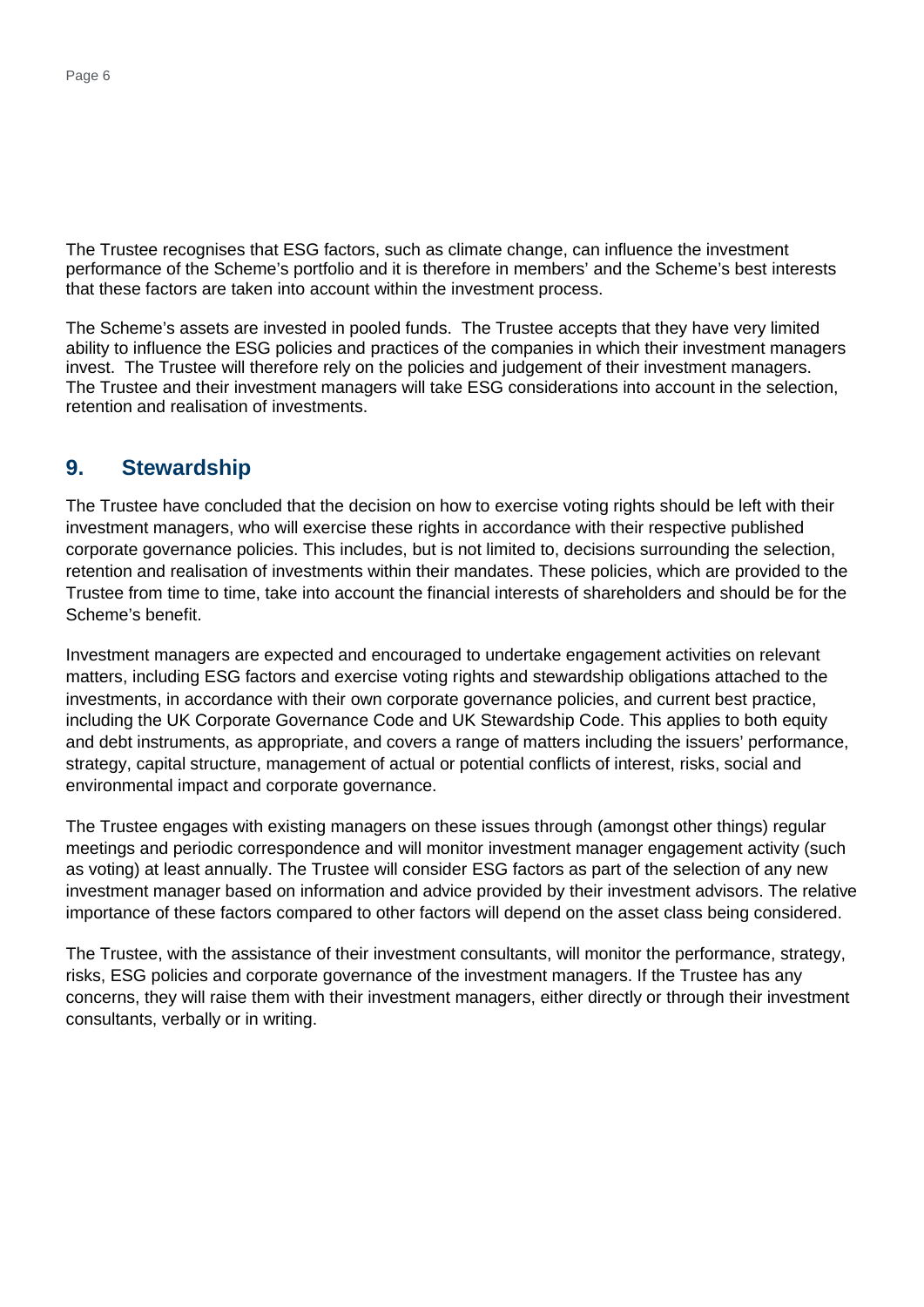The Trustee recognises that ESG factors, such as climate change, can influence the investment performance of the Scheme's portfolio and it is therefore in members' and the Scheme's best interests that these factors are taken into account within the investment process.

The Scheme's assets are invested in pooled funds. The Trustee accepts that they have very limited ability to influence the ESG policies and practices of the companies in which their investment managers invest. The Trustee will therefore rely on the policies and judgement of their investment managers. The Trustee and their investment managers will take ESG considerations into account in the selection, retention and realisation of investments.

### **9. Stewardship**

The Trustee have concluded that the decision on how to exercise voting rights should be left with their investment managers, who will exercise these rights in accordance with their respective published corporate governance policies. This includes, but is not limited to, decisions surrounding the selection, retention and realisation of investments within their mandates. These policies, which are provided to the Trustee from time to time, take into account the financial interests of shareholders and should be for the Scheme's benefit.

Investment managers are expected and encouraged to undertake engagement activities on relevant matters, including ESG factors and exercise voting rights and stewardship obligations attached to the investments, in accordance with their own corporate governance policies, and current best practice, including the UK Corporate Governance Code and UK Stewardship Code. This applies to both equity and debt instruments, as appropriate, and covers a range of matters including the issuers' performance, strategy, capital structure, management of actual or potential conflicts of interest, risks, social and environmental impact and corporate governance.

The Trustee engages with existing managers on these issues through (amongst other things) regular meetings and periodic correspondence and will monitor investment manager engagement activity (such as voting) at least annually. The Trustee will consider ESG factors as part of the selection of any new investment manager based on information and advice provided by their investment advisors. The relative importance of these factors compared to other factors will depend on the asset class being considered.

The Trustee, with the assistance of their investment consultants, will monitor the performance, strategy, risks, ESG policies and corporate governance of the investment managers. If the Trustee has any concerns, they will raise them with their investment managers, either directly or through their investment consultants, verbally or in writing.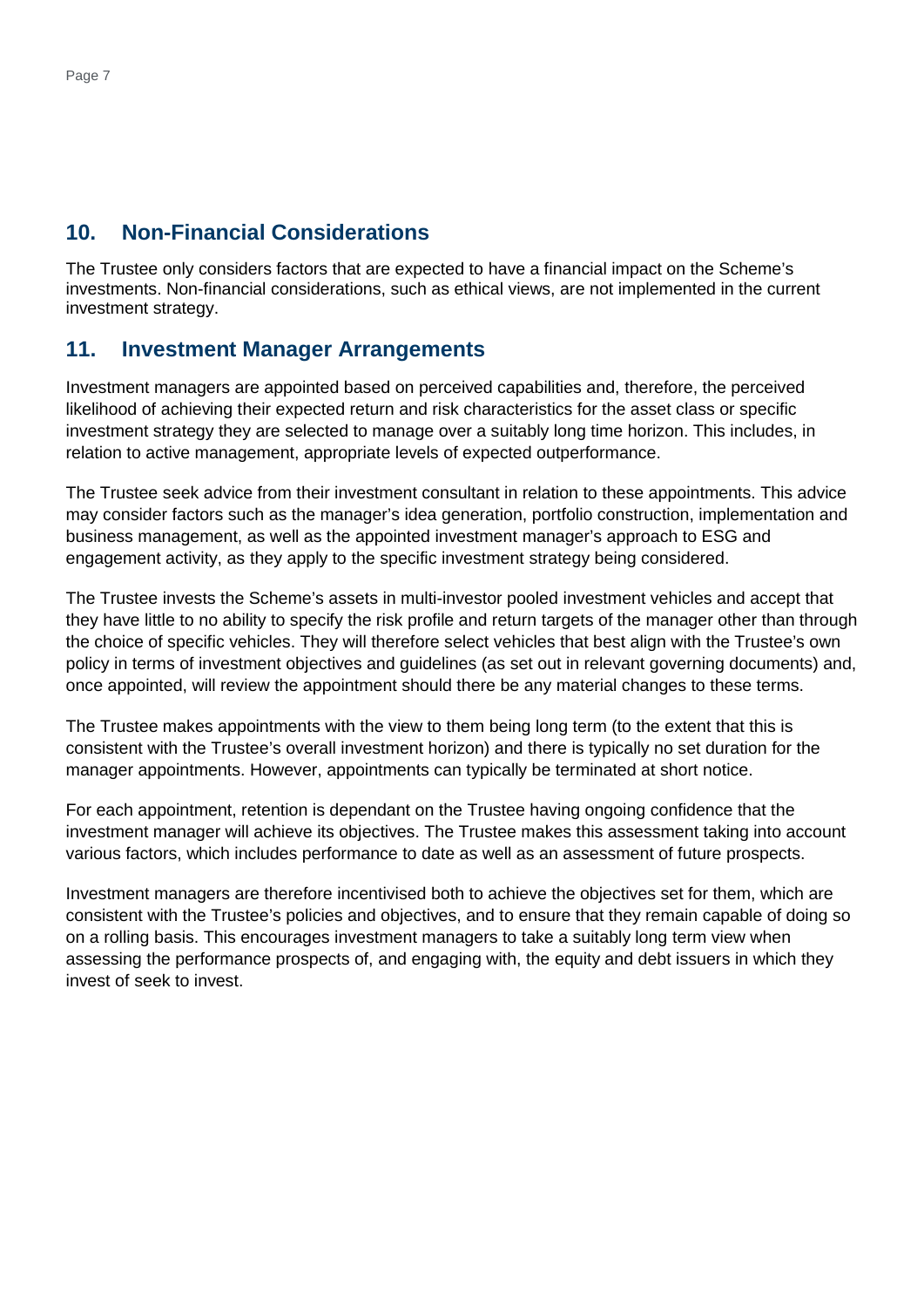## **10. Non-Financial Considerations**

The Trustee only considers factors that are expected to have a financial impact on the Scheme's investments. Non-financial considerations, such as ethical views, are not implemented in the current investment strategy.

### **11. Investment Manager Arrangements**

Investment managers are appointed based on perceived capabilities and, therefore, the perceived likelihood of achieving their expected return and risk characteristics for the asset class or specific investment strategy they are selected to manage over a suitably long time horizon. This includes, in relation to active management, appropriate levels of expected outperformance.

The Trustee seek advice from their investment consultant in relation to these appointments. This advice may consider factors such as the manager's idea generation, portfolio construction, implementation and business management, as well as the appointed investment manager's approach to ESG and engagement activity, as they apply to the specific investment strategy being considered.

The Trustee invests the Scheme's assets in multi-investor pooled investment vehicles and accept that they have little to no ability to specify the risk profile and return targets of the manager other than through the choice of specific vehicles. They will therefore select vehicles that best align with the Trustee's own policy in terms of investment objectives and guidelines (as set out in relevant governing documents) and, once appointed, will review the appointment should there be any material changes to these terms.

The Trustee makes appointments with the view to them being long term (to the extent that this is consistent with the Trustee's overall investment horizon) and there is typically no set duration for the manager appointments. However, appointments can typically be terminated at short notice.

For each appointment, retention is dependant on the Trustee having ongoing confidence that the investment manager will achieve its objectives. The Trustee makes this assessment taking into account various factors, which includes performance to date as well as an assessment of future prospects.

Investment managers are therefore incentivised both to achieve the objectives set for them, which are consistent with the Trustee's policies and objectives, and to ensure that they remain capable of doing so on a rolling basis. This encourages investment managers to take a suitably long term view when assessing the performance prospects of, and engaging with, the equity and debt issuers in which they invest of seek to invest.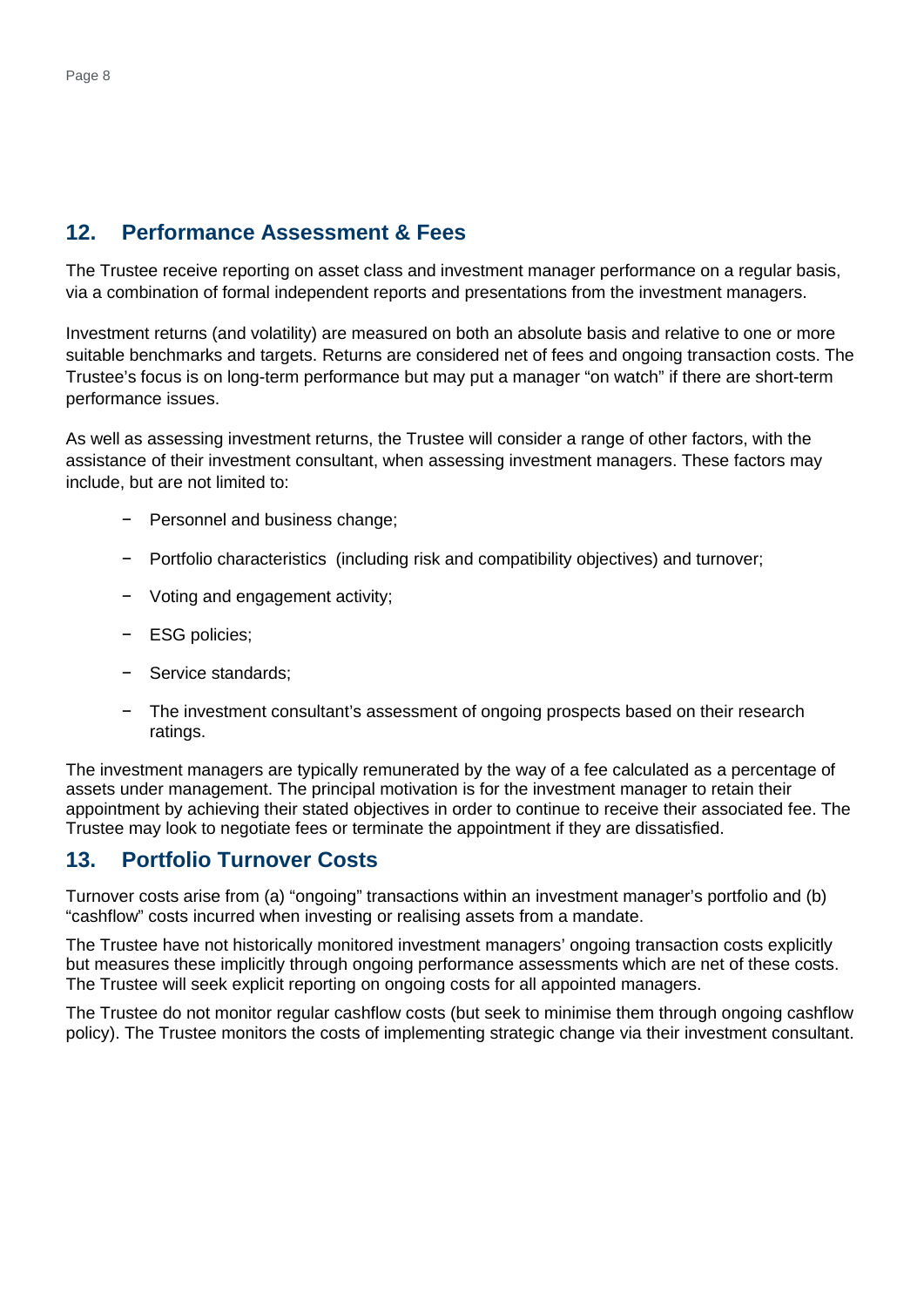# **12. Performance Assessment & Fees**

The Trustee receive reporting on asset class and investment manager performance on a regular basis, via a combination of formal independent reports and presentations from the investment managers.

Investment returns (and volatility) are measured on both an absolute basis and relative to one or more suitable benchmarks and targets. Returns are considered net of fees and ongoing transaction costs. The Trustee's focus is on long-term performance but may put a manager "on watch" if there are short-term performance issues.

As well as assessing investment returns, the Trustee will consider a range of other factors, with the assistance of their investment consultant, when assessing investment managers. These factors may include, but are not limited to:

- − Personnel and business change;
- − Portfolio characteristics (including risk and compatibility objectives) and turnover;
- − Voting and engagement activity;
- − ESG policies;
- − Service standards;
- − The investment consultant's assessment of ongoing prospects based on their research ratings.

The investment managers are typically remunerated by the way of a fee calculated as a percentage of assets under management. The principal motivation is for the investment manager to retain their appointment by achieving their stated objectives in order to continue to receive their associated fee. The Trustee may look to negotiate fees or terminate the appointment if they are dissatisfied.

## **13. Portfolio Turnover Costs**

Turnover costs arise from (a) "ongoing" transactions within an investment manager's portfolio and (b) "cashflow" costs incurred when investing or realising assets from a mandate.

The Trustee have not historically monitored investment managers' ongoing transaction costs explicitly but measures these implicitly through ongoing performance assessments which are net of these costs. The Trustee will seek explicit reporting on ongoing costs for all appointed managers.

The Trustee do not monitor regular cashflow costs (but seek to minimise them through ongoing cashflow policy). The Trustee monitors the costs of implementing strategic change via their investment consultant.